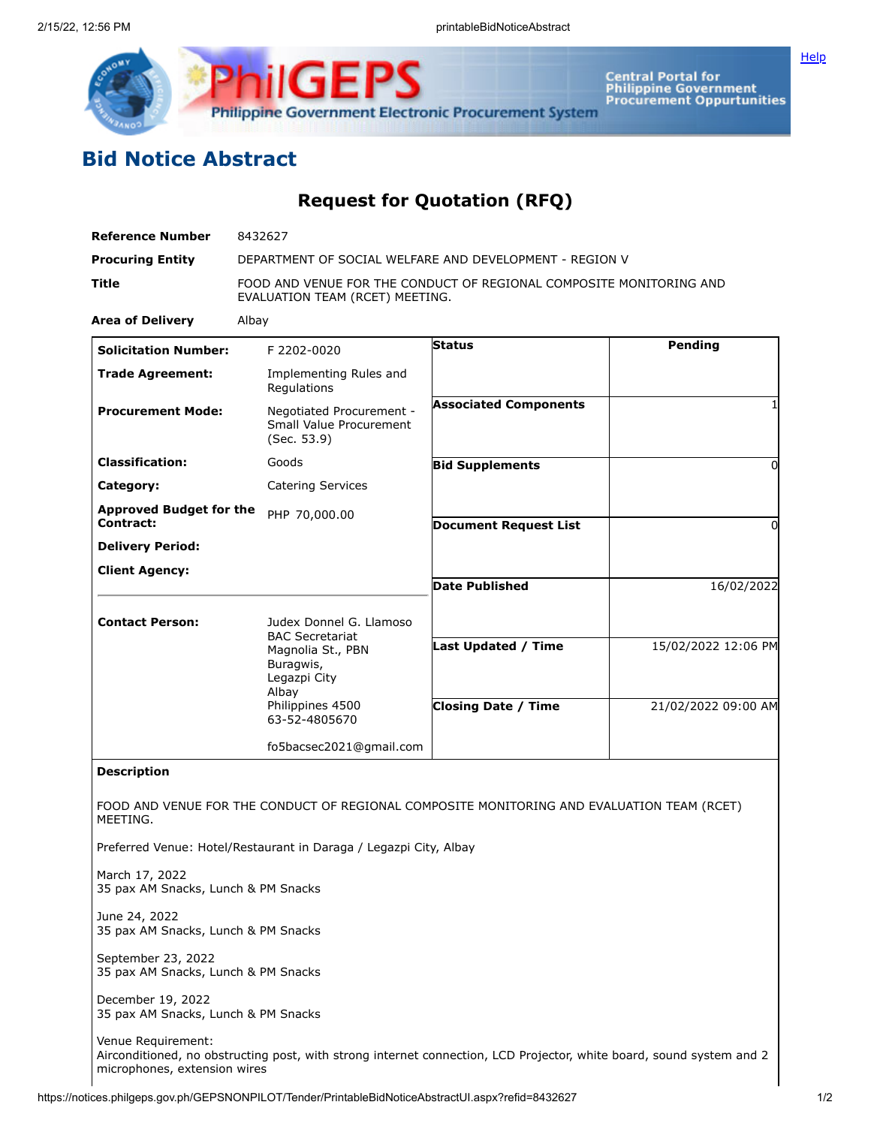

**Central Portal for<br>Philippine Government<br>Procurement Oppurtunities** 

## **Bid Notice Abstract**

**Request for Quotation (RFQ)**

| <b>Reference Number</b>                                   | 8432627                                                                                                                                           |                                                          |                                            |  |  |  |
|-----------------------------------------------------------|---------------------------------------------------------------------------------------------------------------------------------------------------|----------------------------------------------------------|--------------------------------------------|--|--|--|
| <b>Procuring Entity</b>                                   | DEPARTMENT OF SOCIAL WELFARE AND DEVELOPMENT - REGION V                                                                                           |                                                          |                                            |  |  |  |
| Title                                                     | FOOD AND VENUE FOR THE CONDUCT OF REGIONAL COMPOSITE MONITORING AND<br>EVALUATION TEAM (RCET) MEETING.                                            |                                                          |                                            |  |  |  |
| <b>Area of Delivery</b>                                   | Albay                                                                                                                                             |                                                          |                                            |  |  |  |
| <b>Solicitation Number:</b>                               | F 2202-0020                                                                                                                                       | <b>Status</b>                                            | <b>Pending</b>                             |  |  |  |
| <b>Trade Agreement:</b>                                   | Implementing Rules and<br>Regulations                                                                                                             |                                                          |                                            |  |  |  |
| <b>Procurement Mode:</b>                                  | Negotiated Procurement -<br>Small Value Procurement<br>(Sec. 53.9)                                                                                | <b>Associated Components</b>                             |                                            |  |  |  |
| <b>Classification:</b>                                    | Goods                                                                                                                                             | <b>Bid Supplements</b>                                   | 0                                          |  |  |  |
| Category:                                                 | <b>Catering Services</b>                                                                                                                          |                                                          |                                            |  |  |  |
| <b>Approved Budget for the</b>                            | PHP 70,000.00                                                                                                                                     |                                                          |                                            |  |  |  |
| Contract:                                                 |                                                                                                                                                   | <b>Document Request List</b>                             | 0                                          |  |  |  |
| <b>Delivery Period:</b>                                   |                                                                                                                                                   |                                                          |                                            |  |  |  |
| <b>Client Agency:</b>                                     |                                                                                                                                                   | <b>Date Published</b>                                    | 16/02/2022                                 |  |  |  |
| <b>Contact Person:</b>                                    | Judex Donnel G. Llamoso<br><b>BAC Secretariat</b><br>Magnolia St., PBN<br>Buragwis,<br>Legazpi City<br>Albay<br>Philippines 4500<br>63-52-4805670 | <b>Last Updated / Time</b><br><b>Closing Date / Time</b> | 15/02/2022 12:06 PM<br>21/02/2022 09:00 AM |  |  |  |
|                                                           |                                                                                                                                                   |                                                          |                                            |  |  |  |
|                                                           | fo5bacsec2021@gmail.com                                                                                                                           |                                                          |                                            |  |  |  |
| <b>Description</b><br>MEETING.                            | FOOD AND VENUE FOR THE CONDUCT OF REGIONAL COMPOSITE MONITORING AND EVALUATION TEAM (RCET)                                                        |                                                          |                                            |  |  |  |
|                                                           | Preferred Venue: Hotel/Restaurant in Daraga / Legazpi City, Albay                                                                                 |                                                          |                                            |  |  |  |
| March 17, 2022<br>35 pax AM Snacks, Lunch & PM Snacks     |                                                                                                                                                   |                                                          |                                            |  |  |  |
| June 24, 2022<br>35 pax AM Snacks, Lunch & PM Snacks      |                                                                                                                                                   |                                                          |                                            |  |  |  |
| September 23, 2022<br>35 pax AM Snacks, Lunch & PM Snacks |                                                                                                                                                   |                                                          |                                            |  |  |  |
| December 19, 2022<br>35 pax AM Snacks, Lunch & PM Snacks  |                                                                                                                                                   |                                                          |                                            |  |  |  |
| Venue Requirement:<br>microphones, extension wires        | Airconditioned, no obstructing post, with strong internet connection, LCD Projector, white board, sound system and 2                              |                                                          |                                            |  |  |  |